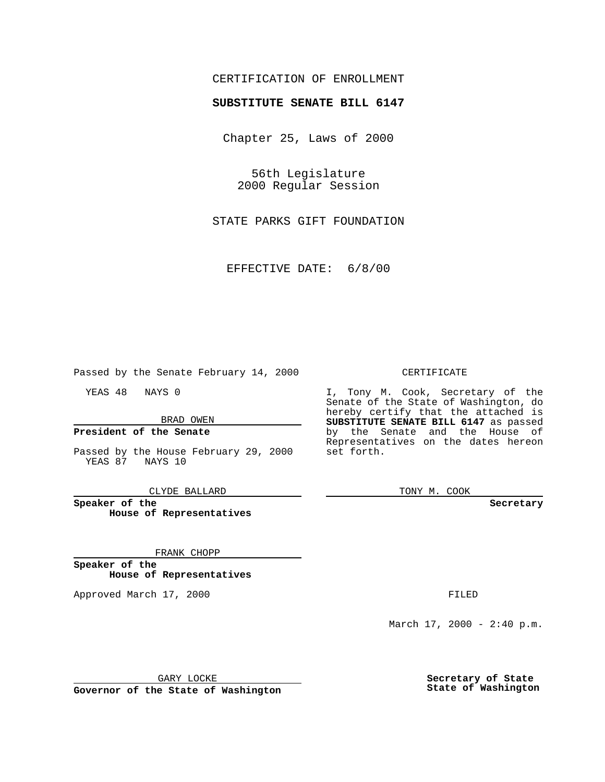### CERTIFICATION OF ENROLLMENT

# **SUBSTITUTE SENATE BILL 6147**

Chapter 25, Laws of 2000

56th Legislature 2000 Regular Session

STATE PARKS GIFT FOUNDATION

EFFECTIVE DATE: 6/8/00

Passed by the Senate February 14, 2000

YEAS 48 NAYS 0

BRAD OWEN

### **President of the Senate**

Passed by the House February 29, 2000 YEAS 87 NAYS 10

CLYDE BALLARD

**Speaker of the House of Representatives**

#### FRANK CHOPP

**Speaker of the House of Representatives**

Approved March 17, 2000 FILED

#### CERTIFICATE

I, Tony M. Cook, Secretary of the Senate of the State of Washington, do hereby certify that the attached is **SUBSTITUTE SENATE BILL 6147** as passed by the Senate and the House of Representatives on the dates hereon set forth.

TONY M. COOK

**Secretary**

March  $17, 2000 - 2:40 p.m.$ 

GARY LOCKE

**Governor of the State of Washington**

**Secretary of State State of Washington**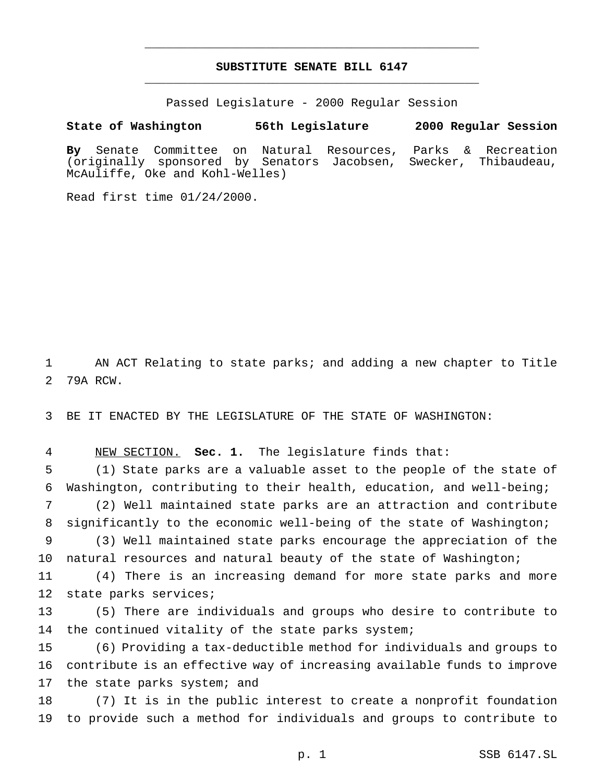## **SUBSTITUTE SENATE BILL 6147** \_\_\_\_\_\_\_\_\_\_\_\_\_\_\_\_\_\_\_\_\_\_\_\_\_\_\_\_\_\_\_\_\_\_\_\_\_\_\_\_\_\_\_\_\_\_\_

\_\_\_\_\_\_\_\_\_\_\_\_\_\_\_\_\_\_\_\_\_\_\_\_\_\_\_\_\_\_\_\_\_\_\_\_\_\_\_\_\_\_\_\_\_\_\_

Passed Legislature - 2000 Regular Session

**State of Washington 56th Legislature 2000 Regular Session**

**By** Senate Committee on Natural Resources, Parks & Recreation (originally sponsored by Senators Jacobsen, Swecker, Thibaudeau, McAuliffe, Oke and Kohl-Welles)

Read first time 01/24/2000.

1 AN ACT Relating to state parks; and adding a new chapter to Title 2 79A RCW.

3 BE IT ENACTED BY THE LEGISLATURE OF THE STATE OF WASHINGTON:

4 NEW SECTION. **Sec. 1.** The legislature finds that:

5 (1) State parks are a valuable asset to the people of the state of 6 Washington, contributing to their health, education, and well-being; 7 (2) Well maintained state parks are an attraction and contribute

8 significantly to the economic well-being of the state of Washington;

9 (3) Well maintained state parks encourage the appreciation of the 10 natural resources and natural beauty of the state of Washington;

11 (4) There is an increasing demand for more state parks and more 12 state parks services;

13 (5) There are individuals and groups who desire to contribute to 14 the continued vitality of the state parks system;

15 (6) Providing a tax-deductible method for individuals and groups to 16 contribute is an effective way of increasing available funds to improve 17 the state parks system; and

18 (7) It is in the public interest to create a nonprofit foundation 19 to provide such a method for individuals and groups to contribute to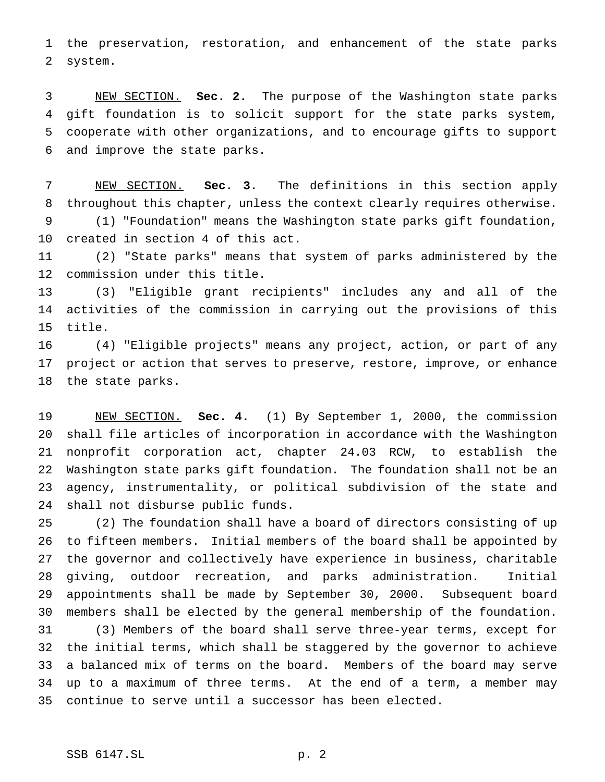the preservation, restoration, and enhancement of the state parks system.

 NEW SECTION. **Sec. 2.** The purpose of the Washington state parks gift foundation is to solicit support for the state parks system, cooperate with other organizations, and to encourage gifts to support and improve the state parks.

 NEW SECTION. **Sec. 3.** The definitions in this section apply throughout this chapter, unless the context clearly requires otherwise. (1) "Foundation" means the Washington state parks gift foundation, created in section 4 of this act.

 (2) "State parks" means that system of parks administered by the commission under this title.

 (3) "Eligible grant recipients" includes any and all of the activities of the commission in carrying out the provisions of this title.

 (4) "Eligible projects" means any project, action, or part of any project or action that serves to preserve, restore, improve, or enhance the state parks.

 NEW SECTION. **Sec. 4.** (1) By September 1, 2000, the commission shall file articles of incorporation in accordance with the Washington nonprofit corporation act, chapter 24.03 RCW, to establish the Washington state parks gift foundation. The foundation shall not be an agency, instrumentality, or political subdivision of the state and shall not disburse public funds.

 (2) The foundation shall have a board of directors consisting of up to fifteen members. Initial members of the board shall be appointed by the governor and collectively have experience in business, charitable giving, outdoor recreation, and parks administration. Initial appointments shall be made by September 30, 2000. Subsequent board members shall be elected by the general membership of the foundation. (3) Members of the board shall serve three-year terms, except for the initial terms, which shall be staggered by the governor to achieve a balanced mix of terms on the board. Members of the board may serve up to a maximum of three terms. At the end of a term, a member may continue to serve until a successor has been elected.

### SSB 6147.SL p. 2